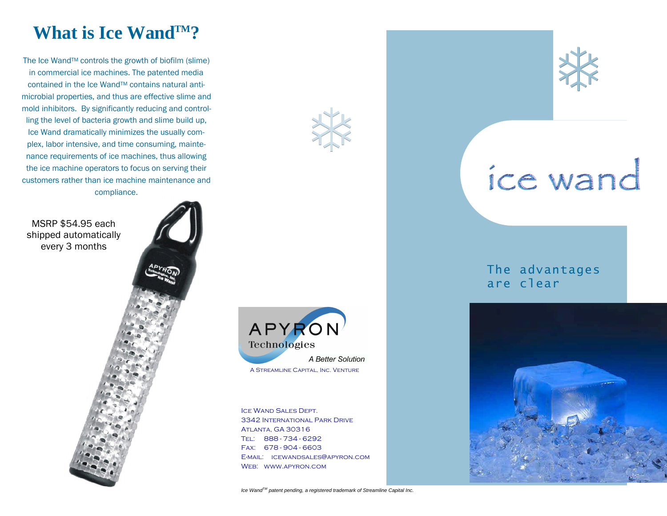## **What is Ice WandTM?**

The Ice Wand™ controls the growth of biofilm (slime) in commercial ice machines. The patented media contained in the Ice WandTM contains natural antimicrobial properties, and thus are effective slime and mold inhibitors. By significantly reducing and controlling the level of bacteria growth and slime build up, Ice Wand dramatically minimizes the usually complex, labor intensive, and time consuming, maintenance requirements of ice machines, thus allowing the ice machine operators to focus on serving their customers rather than ice machine maintenance and compliance.

MSRP \$54.95 each shipped automatically every 3 months





类

Ice Wand Sales Dept. 3342 International Park Drive Atlanta, GA 30316 Tel: 888 - 734 - 6292 Fax: 678 - 904 - 6603 E-mail: icewandsales@apyron.com Web: www.apyron.com



# ice wand

The advantages are clear